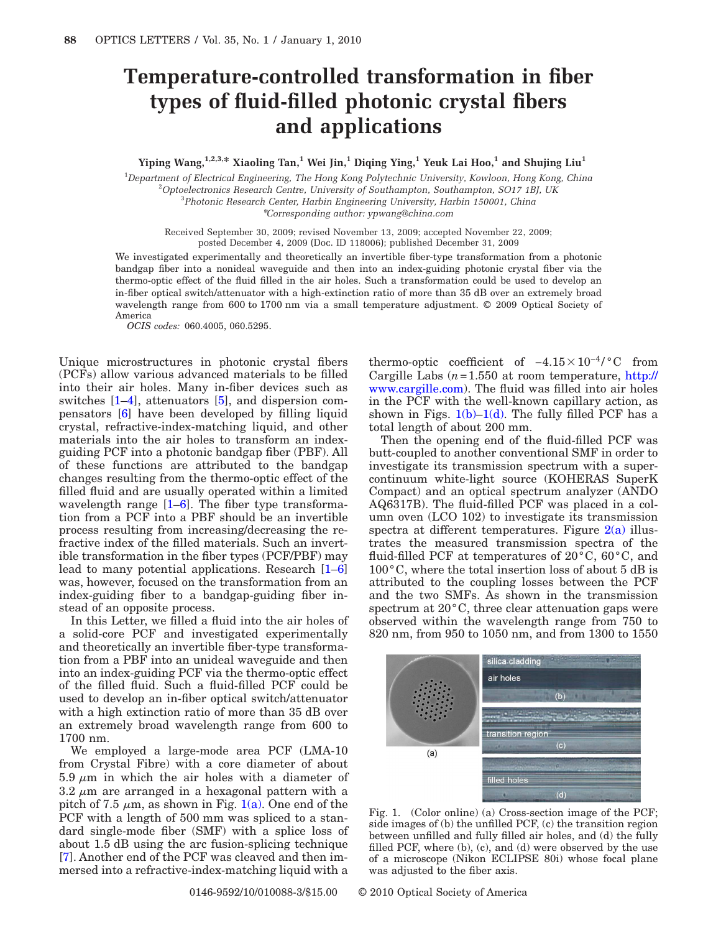## **Temperature-controlled transformation in fiber types of fluid-filled photonic crystal fibers and applications**

**Yiping Wang,1,2,3,\* Xiaoling Tan,1 Wei Jin,1 Diqing Ying,1 Yeuk Lai Hoo,1 and Shujing Liu1**

1 *Department of Electrical Engineering, The Hong Kong Polytechnic University, Kowloon, Hong Kong, China* 2 *Optoelectronics Research Centre, University of Southampton, Southampton, SO17 1BJ, UK* 3 *Photonic Research Center, Harbin Engineering University, Harbin 150001, China*

\**Corresponding author: ypwang@china.com*

Received September 30, 2009; revised November 13, 2009; accepted November 22, 2009; posted December 4, 2009 (Doc. ID 118006); published December 31, 2009

We investigated experimentally and theoretically an invertible fiber-type transformation from a photonic bandgap fiber into a nonideal waveguide and then into an index-guiding photonic crystal fiber via the thermo-optic effect of the fluid filled in the air holes. Such a transformation could be used to develop an in-fiber optical switch/attenuator with a high-extinction ratio of more than 35 dB over an extremely broad wavelength range from 600 to 1700 nm via a small temperature adjustment. © 2009 Optical Society of America

*OCIS codes:* 060.4005, 060.5295.

Unique microstructures in photonic crystal fibers (PCFs) allow various advanced materials to be filled into their air holes. Many in-fiber devices such as switches [\[1–](#page-2-0)[4\]](#page-2-1), attenuators [\[5\]](#page-2-2), and dispersion compensators [\[6\]](#page-2-3) have been developed by filling liquid crystal, refractive-index-matching liquid, and other materials into the air holes to transform an indexguiding PCF into a photonic bandgap fiber (PBF). All of these functions are attributed to the bandgap changes resulting from the thermo-optic effect of the filled fluid and are usually operated within a limited wavelength range  $[1-6]$  $[1-6]$ . The fiber type transformation from a PCF into a PBF should be an invertible process resulting from increasing/decreasing the refractive index of the filled materials. Such an invertible transformation in the fiber types (PCF/PBF) may lead to many potential applications. Research [\[1–](#page-2-0)[6\]](#page-2-3) was, however, focused on the transformation from an index-guiding fiber to a bandgap-guiding fiber instead of an opposite process.

In this Letter, we filled a fluid into the air holes of a solid-core PCF and investigated experimentally and theoretically an invertible fiber-type transformation from a PBF into an unideal waveguide and then into an index-guiding PCF via the thermo-optic effect of the filled fluid. Such a fluid-filled PCF could be used to develop an in-fiber optical switch/attenuator with a high extinction ratio of more than 35 dB over an extremely broad wavelength range from 600 to 1700 nm.

We employed a large-mode area PCF (LMA-10 from Crystal Fibre) with a core diameter of about 5.9  $\mu$ m in which the air holes with a diameter of  $3.2 \mu m$  are arranged in a hexagonal pattern with a pitch of 7.5  $\mu$ m, as shown in Fig. [1\(a\).](#page-0-0) One end of the PCF with a length of 500 mm was spliced to a standard single-mode fiber (SMF) with a splice loss of about 1.5 dB using the arc fusion-splicing technique [\[7\]](#page-2-4). Another end of the PCF was cleaved and then immersed into a refractive-index-matching liquid with a

thermo-optic coefficient of  $-4.15 \times 10^{-4}$ /°C from Cargille Labs (*n*=1.550 at room temperature, [http://](http://www.cargille.com) [www.cargille.com\)](http://www.cargille.com). The fluid was filled into air holes in the PCF with the well-known capillary action, as shown in Figs.  $1(b)-1(d)$ . The fully filled PCF has a total length of about 200 mm.

Then the opening end of the fluid-filled PCF was butt-coupled to another conventional SMF in order to investigate its transmission spectrum with a supercontinuum white-light source (KOHERAS SuperK Compact) and an optical spectrum analyzer (ANDO AQ6317B). The fluid-filled PCF was placed in a column oven (LCO 102) to investigate its transmission spectra at different temperatures. Figure  $2(a)$  illustrates the measured transmission spectra of the fluid-filled PCF at temperatures of 20°C, 60°C, and 100°C, where the total insertion loss of about 5 dB is attributed to the coupling losses between the PCF and the two SMFs. As shown in the transmission spectrum at 20°C, three clear attenuation gaps were observed within the wavelength range from 750 to 820 nm, from 950 to 1050 nm, and from 1300 to 1550

<span id="page-0-0"></span>

Fig. 1. (Color online) (a) Cross-section image of the PCF; side images of (b) the unfilled PCF, (c) the transition region between unfilled and fully filled air holes, and (d) the fully filled PCF, where (b), (c), and (d) were observed by the use of a microscope (Nikon ECLIPSE 80i) whose focal plane was adjusted to the fiber axis.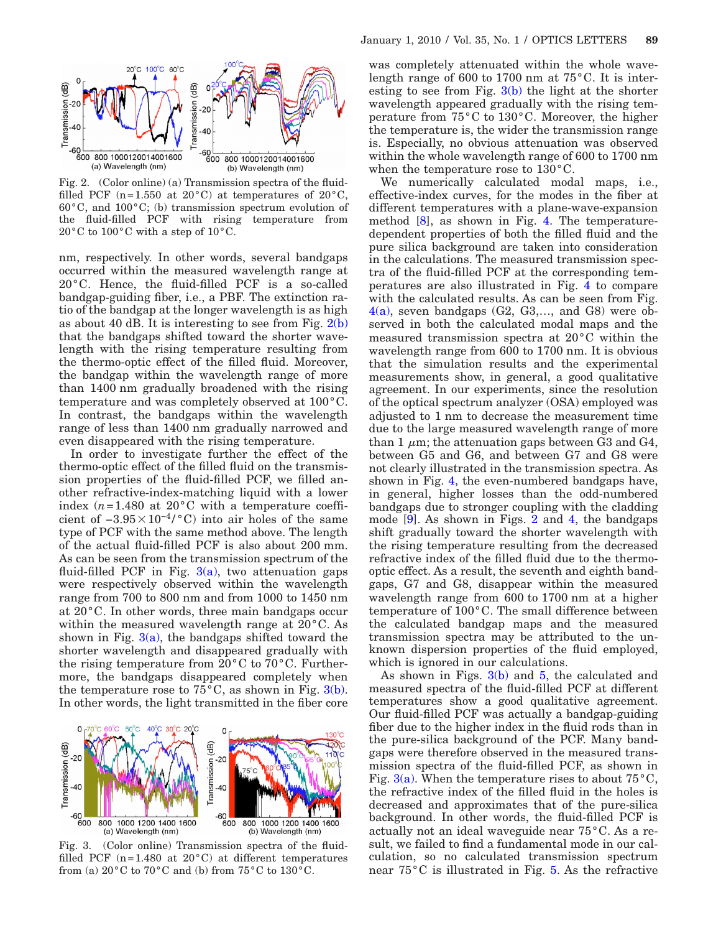<span id="page-1-0"></span>

Fig. 2. (Color online) (a) Transmission spectra of the fluidfilled PCF (n=1.550 at 20 $^{\circ}$ C) at temperatures of 20 $^{\circ}$ C, 60°C, and 100°C; (b) transmission spectrum evolution of the fluid-filled PCF with rising temperature from 20°C to 100°C with a step of 10°C.

nm, respectively. In other words, several bandgaps occurred within the measured wavelength range at 20°C. Hence, the fluid-filled PCF is a so-called bandgap-guiding fiber, i.e., a PBF. The extinction ratio of the bandgap at the longer wavelength is as high as about 40 dB. It is interesting to see from Fig.  $2(b)$ that the bandgaps shifted toward the shorter wavelength with the rising temperature resulting from the thermo-optic effect of the filled fluid. Moreover, the bandgap within the wavelength range of more than 1400 nm gradually broadened with the rising temperature and was completely observed at 100°C. In contrast, the bandgaps within the wavelength range of less than 1400 nm gradually narrowed and even disappeared with the rising temperature.

In order to investigate further the effect of the thermo-optic effect of the filled fluid on the transmission properties of the fluid-filled PCF, we filled another refractive-index-matching liquid with a lower index  $(n=1.480$  at  $20^{\circ}$ C with a temperature coefficient of  $-3.95 \times 10^{-4} / \text{°C}$  into air holes of the same type of PCF with the same method above. The length of the actual fluid-filled PCF is also about 200 mm. As can be seen from the transmission spectrum of the fluid-filled PCF in Fig.  $3(a)$ , two attenuation gaps were respectively observed within the wavelength range from 700 to 800 nm and from 1000 to 1450 nm at 20°C. In other words, three main bandgaps occur within the measured wavelength range at 20°C. As shown in Fig.  $3(a)$ , the bandgaps shifted toward the shorter wavelength and disappeared gradually with the rising temperature from 20°C to 70°C. Furthermore, the bandgaps disappeared completely when the temperature rose to  $75^{\circ}$ C, as shown in Fig. [3\(b\).](#page-1-1) In other words, the light transmitted in the fiber core

<span id="page-1-1"></span>

Fig. 3. (Color online) Transmission spectra of the fluidfilled PCF  $(n=1.480$  at  $20^{\circ}$ C) at different temperatures from (a)  $20^{\circ}$ C to  $70^{\circ}$ C and (b) from  $75^{\circ}$ C to  $130^{\circ}$ C.

was completely attenuated within the whole wavelength range of 600 to 1700 nm at 75°C. It is interesting to see from Fig.  $3(b)$  the light at the shorter wavelength appeared gradually with the rising temperature from 75°C to 130°C. Moreover, the higher the temperature is, the wider the transmission range is. Especially, no obvious attenuation was observed within the whole wavelength range of 600 to 1700 nm when the temperature rose to 130°C.

We numerically calculated modal maps, i.e., effective-index curves, for the modes in the fiber at different temperatures with a plane-wave-expansion method [\[8\]](#page-2-5), as shown in Fig. [4.](#page-2-6) The temperaturedependent properties of both the filled fluid and the pure silica background are taken into consideration in the calculations. The measured transmission spectra of the fluid-filled PCF at the corresponding temperatures are also illustrated in Fig. [4](#page-2-6) to compare with the calculated results. As can be seen from Fig.  $4(a)$ , seven bandgaps  $(G2, G3,..., and G8)$  were observed in both the calculated modal maps and the measured transmission spectra at 20°C within the wavelength range from 600 to 1700 nm. It is obvious that the simulation results and the experimental measurements show, in general, a good qualitative agreement. In our experiments, since the resolution of the optical spectrum analyzer (OSA) employed was adjusted to 1 nm to decrease the measurement time due to the large measured wavelength range of more than 1  $\mu$ m; the attenuation gaps between G3 and G4, between G5 and G6, and between G7 and G8 were not clearly illustrated in the transmission spectra. As shown in Fig. [4,](#page-2-6) the even-numbered bandgaps have, in general, higher losses than the odd-numbered bandgaps due to stronger coupling with the cladding mode [\[9\]](#page-2-7). As shown in Figs. [2](#page-1-0) and [4,](#page-2-6) the bandgaps shift gradually toward the shorter wavelength with the rising temperature resulting from the decreased refractive index of the filled fluid due to the thermooptic effect. As a result, the seventh and eighth bandgaps, G7 and G8, disappear within the measured wavelength range from 600 to 1700 nm at a higher temperature of 100°C. The small difference between the calculated bandgap maps and the measured transmission spectra may be attributed to the unknown dispersion properties of the fluid employed, which is ignored in our calculations.

As shown in Figs. [3\(b\)](#page-1-1) and [5,](#page-2-8) the calculated and measured spectra of the fluid-filled PCF at different temperatures show a good qualitative agreement. Our fluid-filled PCF was actually a bandgap-guiding fiber due to the higher index in the fluid rods than in the pure-silica background of the PCF. Many bandgaps were therefore observed in the measured transmission spectra of the fluid-filled PCF, as shown in Fig.  $3(a)$ . When the temperature rises to about  $75^{\circ}$ C, the refractive index of the filled fluid in the holes is decreased and approximates that of the pure-silica background. In other words, the fluid-filled PCF is actually not an ideal waveguide near 75°C. As a result, we failed to find a fundamental mode in our calculation, so no calculated transmission spectrum near 75°C is illustrated in Fig. [5.](#page-2-8) As the refractive